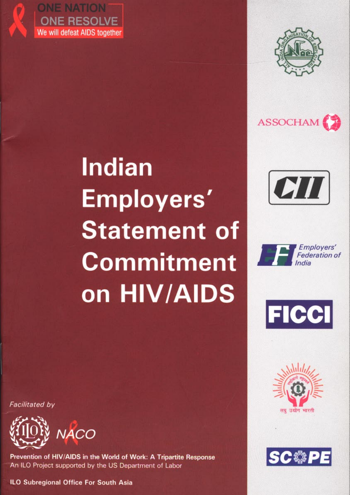





# **Indian** Employers' **Statement of Commitment** on HIV/AIDS











**Facilitated by** 



Prevention of HIV/AIDS in the World of Work: A Tripartite Response An ILO Project supported by the US Department of Labor

**ILO Subregional Office For South Asia**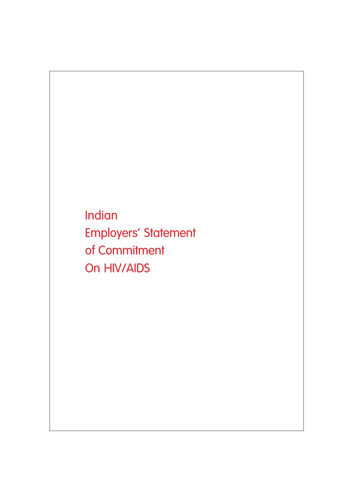Indian Employers' Statement of Commitment On HIV/AIDS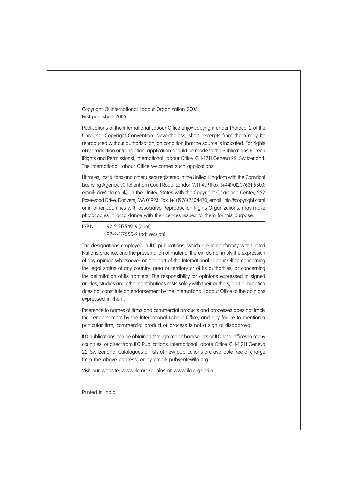Copyright © International Labour Organization 2005 First published 2005

Publications of the International Labour Office enjoy copyright under Protocol 2 of the Universal Copyright Convention. Nevertheless, short excerpts from them may be reproduced without authorization, on condition that the source is indicated. For rights of reproduction or translation, application should be mode to the Publications Bureau (Rights and Permissions), International Labour Office, CH-1211 Geneva 22, Switzerland. The International Labour Office welcomes such applications.

Libraries, institutions and other users registered in the United Kingdom with the Copyright Licensing Agency, 90 Tottenham Court Road, London W1T 4LP [Fax: (+44) (0)207631 5500; email: cla@cla.co.uk], in the United States with the Copyright Clearance Center, 222 Rosewood Drive, Danvers, MA 01923 (Fax: (+1) (978) 7504470; email: info@copyright.com] or in other countries with associated Reproduction Rights Organizations, may make photocopies in accordance with the licences issued to them for this purpose.

#### ISBN : 92-2-117549-9 (print) 92-2-117550-2 (pdf version)

The designations employed in ILO publications, which are in conformity with United Nations practice, and the presentation of material therein do not imply the expression of any opinion whatsoever on the port of the International Labour Office concerning the legal status of any country, area or territory or of its authorities, or concerning the delimitation of its frontiers. The responsibility for opinions expressed in signed articles, studies and other contributions rests solely with their authors, and publication does not constitute on endorsement by the International Labour Office of the opinions expressed in them.

Reference to names of firms and commercial products and processes does not imply their endorsement by the International Labour Office, and any failure to mention a particular firm, commercial product or process is not a sign of disapproval.

ILO publications can be obtained through major booksellers or ILO local offices In many countries, or direct from ILO Publications, International Labour Office, CH-1 211 Geneva 22, Switzerland. Catalogues or lists of new publications ore available free of charge from the above address, or by email: pubvente@ilo.org

Visit our website: www.ilo.org/publns or www.ilo.org/india

Printed in India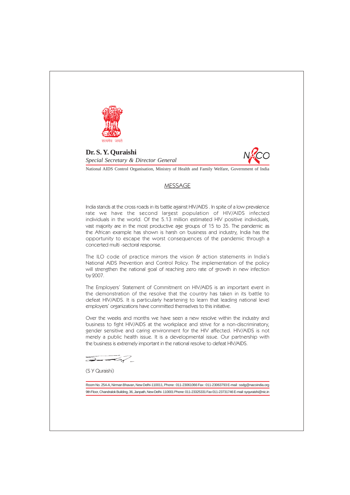

#### **Dr. S. Y. Quraishi** *Special Secretary & Director General*



National AIDS Control Organisation, Ministry of Health and Family Welfare, Government of India

#### MESSAGE

India stands at the cross roads in its battle against HIV/AIDS . In spite of a low prevalence rate we have the second largest population of HIV/AIDS infected individuals in the world. Of the 5.13 million estimated HIV positive individuals, vast majority are in the most productive age groups of 15 to 35. The pandemic as the African example has shown is harsh on business and industry, India has the opportunity to escape the worst consequences of the pandemic through a concerted multi -sectoral response.

The ILO code of practice mirrors the vision  $\delta$  action statements in India's National AIDS Prevention and Control Policy. The implementation of the policy will strengthen the national goal of reaching zero rate of growth in new infection by 2007.

The Employers' Statement of Commitment on HIV/AIDS is an important event in the demonstration of the resolve that the country has taken in its battle to defeat HIV/AIDS. It is particularly heartening to learn that leading national level employers' organizations have committed themselves to this initiative.

Over the weeks and months we have seen a new resolve within the industry and business to fight HIV/AIDS at the workplace and strive for a non-discriminatory, gender sensitive and caring environment for the HIV affected. HIV/AIDS is not merely a public health issue. It is a developmental issue. Our partnership with the business is extremely important in the national resolve to defeat HIV/AIDS.

 $\rightarrow$ 

(S Y Quraishi)

Room No. 254-A, Nirman Bhavan, New Delhi-110011, Phone : 011-23061066 Fax : 011-23063793 E-mail : ssdg@nacoindia.org 9th Floor, Chandralok Building, 36, Janpath, New Delhi- 110001 Phone: 011-23325331 Fax 011-23731746 E-mail: syquraishi@nic.in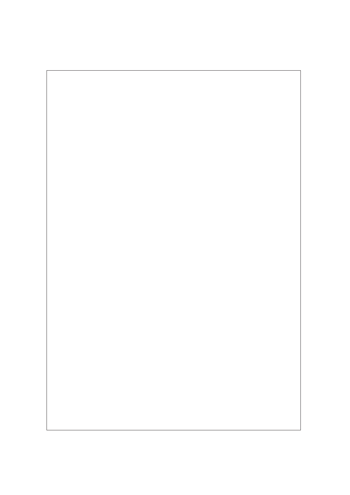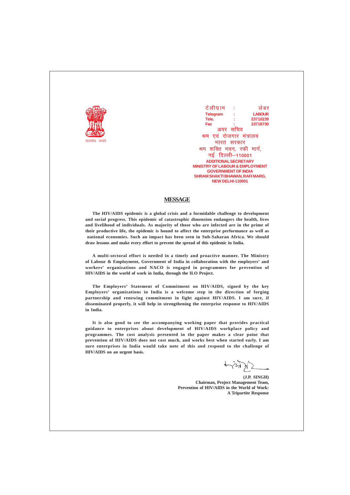

| टे लीगाम                                   | $\sim 100$ | ले बर         |  |  |
|--------------------------------------------|------------|---------------|--|--|
|                                            |            |               |  |  |
| <b>Telegram</b>                            | $\sim 10$  | <b>LABOUR</b> |  |  |
| Tele.                                      |            | 23710239      |  |  |
| Fax                                        | ÷.         | 23718730      |  |  |
|                                            | अपर सचिव   |               |  |  |
| श्रम एवं रोजगार मंत्रालय                   |            |               |  |  |
| भारत सरकार                                 |            |               |  |  |
| श्रम शक्ति भवन, रफी मार्ग,                 |            |               |  |  |
| नई दिल्ली-110001                           |            |               |  |  |
| <b>ADDITIONAL SECRETARY</b>                |            |               |  |  |
| <b>MINISTRY OF LABOUR &amp; EMPLOYMENT</b> |            |               |  |  |
| <b>GOVERNMENT OF INDIA</b>                 |            |               |  |  |
| SHRAM SHAKTI BHAWAN, RAFI MARG,            |            |               |  |  |
| <b>NEW DELHI-110001</b>                    |            |               |  |  |

#### **MESSAGE**

**The HIV/AIDS epidemic is a global crisis and a formidable challenge to development and social progress. This epidemic of catastrophic dimension endangers the health, lives and livelihood of individuals. As majority of those who are infected are in the prime of their productive life, the epidemic is bound to affect the enterprise performance as well as national economies. Such an impact has been seen in Sub-Saharan Africa. We should draw lessons and make every effort to prevent the spread of this epidemic in India.**

**A multi-sectoral effort is needed in a timely and proactive manner. The Ministry of Labour & Employment, Government of India in collaboration with the employers' and workers' organizations and NACO is engaged in programmes for prevention of HIV/AIDS in the world of work in India, through the ILO Project.**

**The Employers' Statement of Commitment on HIV/AIDS, signed by the key Employers' organizations in India is a welcome step in the direction of forging partnership and renewing commitment in fight against HIV/AIDS. I am sure, if disseminated properly, it will help in strengthening the enterprise response to HIV/AIDS in India.**

**It is also good to see the accompanying working paper that provides practical guidance to enterprises about development of HIV/AIDS workplace policy and programmes. The cost analysis presented in the paper makes a clear point that prevention of HIV/AIDS does not cost much, and works best when started early. I am sure enterprises in India would take note of this and respond to the challenge of HIV/AIDS on an urgent basis.**

**(J.P. SINGH) Chairman, Project Management Team, Prevention of HIV/AIDS in the World of Work: A Tripartite Response**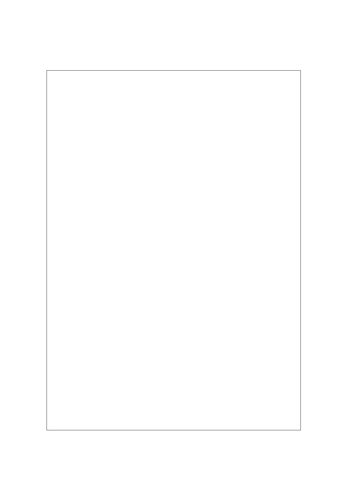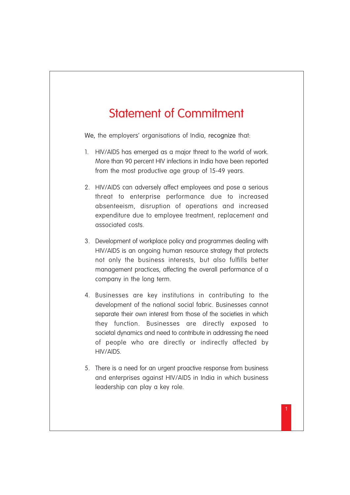## Statement of Commitment

We, the employers' organisations of India, recognize that:

- 1. HIV/AIDS has emerged as a major threat to the world of work. More than 90 percent HIV infections in India have been reported from the most productive age group of 15-49 years.
- 2. HIV/AIDS can adversely affect employees and pose a serious threat to enterprise performance due to increased absenteeism, disruption of operations and increased expenditure due to employee treatment, replacement and associated costs.
- 3. Development of workplace policy and programmes dealing with HIV/AIDS is an ongoing human resource strategy that protects not only the business interests, but also fulfills better management practices, affecting the overall performance of a company in the long term.
- 4. Businesses are key institutions in contributing to the development of the national social fabric. Businesses cannot separate their own interest from those of the societies in which they function. Businesses are directly exposed to societal dynamics and need to contribute in addressing the need of people who are directly or indirectly affected by HIV/AIDS.
- 5. There is a need for an urgent proactive response from business and enterprises against HIV/AIDS in India in which business leadership can play a key role.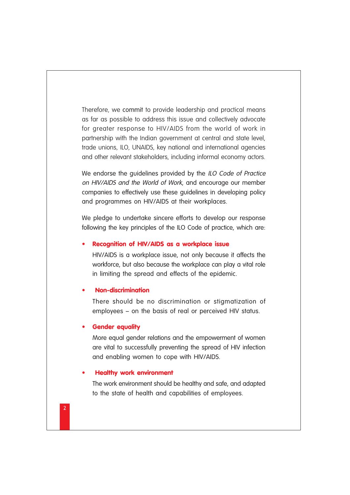Therefore, we commit to provide leadership and practical means as far as possible to address this issue and collectively advocate for greater response to HIV/AIDS from the world of work in partnership with the Indian government at central and state level, trade unions, ILO, UNAIDS, key national and international agencies and other relevant stakeholders, including informal economy actors.

We endorse the quidelines provided by the ILO Code of Practice on HIV/AIDS and the World of Work, and encourage our member companies to effectively use these guidelines in developing policy and programmes on HIV/AIDS at their workplaces.

We pledge to undertake sincere efforts to develop our response following the key principles of the ILO Code of practice, which are:

#### **• Recognition of HIV/AIDS as a workplace issue**

HIV/AIDS is a workplace issue, not only because it affects the workforce, but also because the workplace can play a vital role in limiting the spread and effects of the epidemic.

#### • **Non-discrimination**

There should be no discrimination or stigmatization of employees – on the basis of real or perceived HIV status.

#### • **Gender equality**

More equal gender relations and the empowerment of women are vital to successfully preventing the spread of HIV infection and enabling women to cope with HIV/AIDS.

#### • **Healthy work environment**

The work environment should be healthy and safe, and adapted to the state of health and capabilities of employees.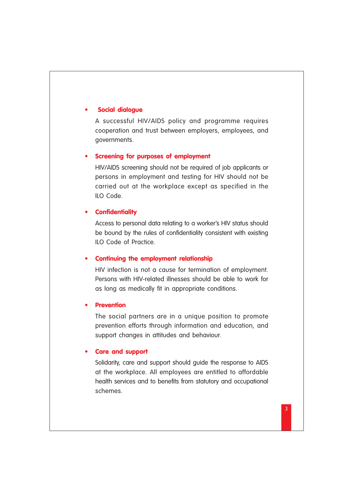#### • **Social dialogue**

A successful HIV/AIDS policy and programme requires cooperation and trust between employers, employees, and governments.

#### • **Screening for purposes of employment**

HIV/AIDS screening should not be required of job applicants or persons in employment and testing for HIV should not be carried out at the workplace except as specified in the ILO Code.

#### • **Confidentiality**

Access to personal data relating to a worker's HIV status should be bound by the rules of confidentiality consistent with existing ILO Code of Practice.

#### • **Continuing the employment relationship**

HIV infection is not a cause for termination of employment. Persons with HIV-related illnesses should be able to work for as long as medically fit in appropriate conditions.

#### • **Prevention**

The social partners are in a unique position to promote prevention efforts through information and education, and support changes in attitudes and behaviour.

#### • **Care and support**

Solidarity, care and support should guide the response to AIDS at the workplace. All employees are entitled to affordable health services and to benefits from statutory and occupational schemes.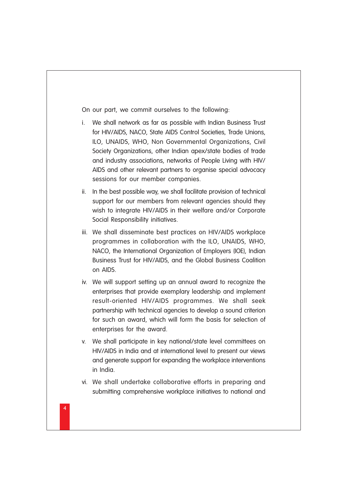On our part, we commit ourselves to the following:

- i. We shall network as far as possible with Indian Business Trust for HIV/AIDS, NACO, State AIDS Control Societies, Trade Unions, ILO, UNAIDS, WHO, Non Governmental Organizations, Civil Society Organizations, other Indian apex/state bodies of trade and industry associations, networks of People Living with HIV/ AIDS and other relevant partners to organise special advocacy sessions for our member companies.
- ii. In the best possible way, we shall facilitate provision of technical support for our members from relevant agencies should they wish to integrate HIV/AIDS in their welfare and/or Corporate Social Responsibility initiatives.
- iii. We shall disseminate best practices on HIV/AIDS workplace programmes in collaboration with the ILO, UNAIDS, WHO, NACO, the International Organization of Employers (IOE), Indian Business Trust for HIV/AIDS, and the Global Business Coalition on AIDS.
- iv. We will support setting up an annual award to recognize the enterprises that provide exemplary leadership and implement result-oriented HIV/AIDS programmes. We shall seek partnership with technical agencies to develop a sound criterion for such an award, which will form the basis for selection of enterprises for the award.
- v. We shall participate in key national/state level committees on HIV/AIDS in India and at international level to present our views and generate support for expanding the workplace interventions in India.
- vi. We shall undertake collaborative efforts in preparing and submitting comprehensive workplace initiatives to national and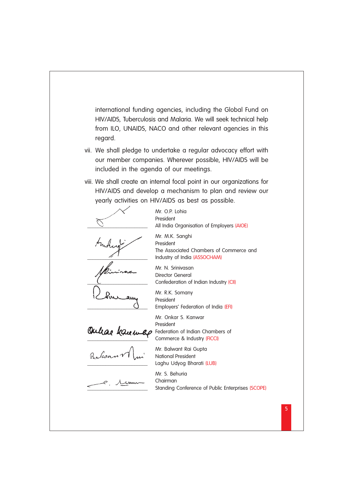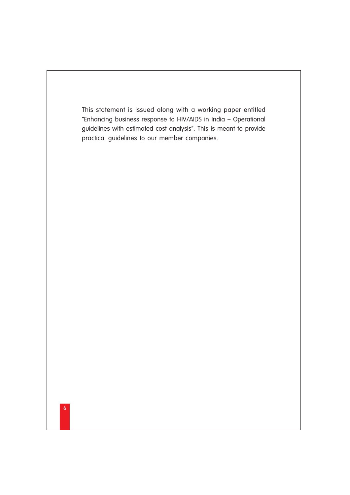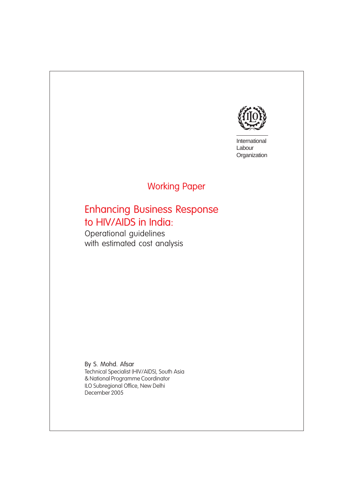

International Labour **Organization** 

### Working Paper

## Enhancing Business Response to HIV/AIDS in India:

Operational guidelines with estimated cost analysis

By S. Mohd. Afsar Technical Specialist (HIV/AIDS), South Asia & National Programme Coordinator ILO Subregional Office, New Delhi December 2005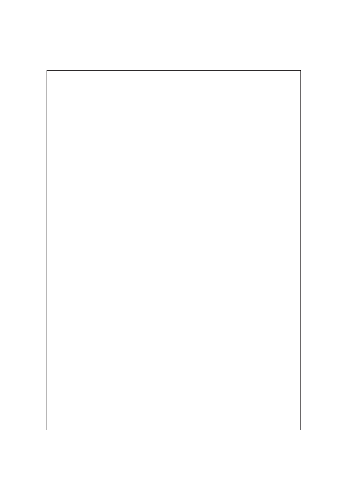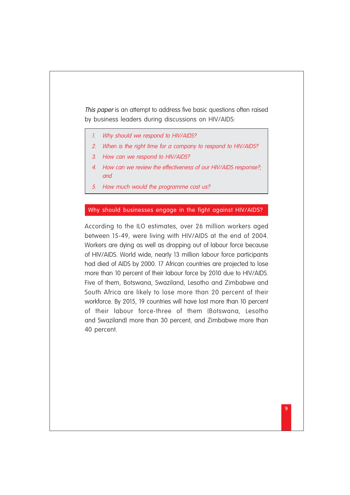This paper is an attempt to address five basic questions often raised by business leaders during discussions on HIV/AIDS:

- 1. Why should we respond to HIV/AIDS?
- 2. When is the right time for a company to respond to HIV/AIDS?
- 3. How can we respond to HIV/AIDS?
- 4. How can we review the effectiveness of our HIV/AIDS response?; and
- 5. How much would the programme cost us?

#### Why should businesses engage in the fight against HIV/AIDS?

According to the ILO estimates, over 26 million workers aged between 15-49, were living with HIV/AIDS at the end of 2004. Workers are dying as well as dropping out of labour force because of HIV/AIDS. World wide, nearly 13 million labour force participants had died of AIDS by 2000. 17 African countries are projected to lose more than 10 percent of their labour force by 2010 due to HIV/AIDS. Five of them, Botswana, Swaziland, Lesotho and Zimbabwe and South Africa are likely to lose more than 20 percent of their workforce. By 2015, 19 countries will have lost more than 10 percent of their labour force-three of them (Botswana, Lesotho and Swaziland) more than 30 percent, and Zimbabwe more than 40 percent.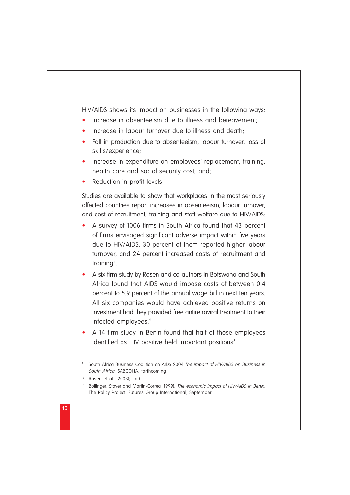HIV/AIDS shows its impact on businesses in the following ways:

- Increase in absenteeism due to illness and bereavement;
- Increase in labour turnover due to illness and death;
- Fall in production due to absenteeism, labour turnover, loss of skills/experience;
- Increase in expenditure on employees' replacement, training, health care and social security cost, and;
- Reduction in profit levels

Studies are available to show that workplaces in the most seriously affected countries report increases in absenteeism, labour turnover, and cost of recruitment, training and staff welfare due to HIV/AIDS:

- A survey of 1006 firms in South Africa found that 43 percent of firms envisaged significant adverse impact within five years due to HIV/AIDS. 30 percent of them reported higher labour turnover, and 24 percent increased costs of recruitment and training<sup>1</sup>.
- A six firm study by Rosen and co-authors in Botswana and South Africa found that AIDS would impose costs of between 0.4 percent to 5.9 percent of the annual wage bill in next ten years. All six companies would have achieved positive returns on investment had they provided free antiretroviral treatment to their infected employees.2
- A 14 firm study in Benin found that half of those employees identified as HIV positive held important positions<sup>3</sup>.

<sup>&</sup>lt;sup>1</sup> South Africa Business Coalition on AIDS 2004; The impact of HIV/AIDS on Business in South Africa, SABCOHA, forthcoming

<sup>2</sup> Rosen et al. (2003); ibid

<sup>&</sup>lt;sup>3</sup> Bollinger, Stover and Martin-Correa (1999); The economic impact of HIV/AIDS in Benin. The Policy Project. Futures Group International, September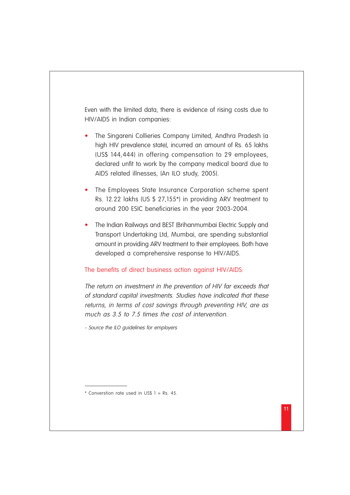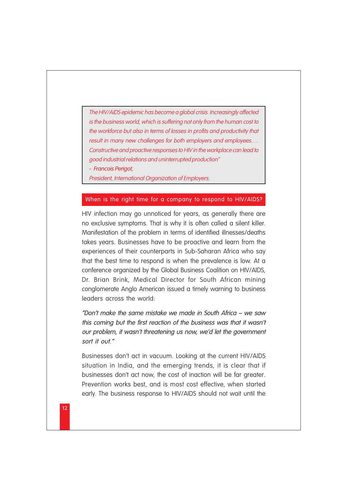The HIV/AIDS epidemic has become a global crisis. Increasingly affected is the business world, which is suffering not only from the human cost to the workforce but also in terms of losses in profits and productivity that result in many new challenges for both employers and employees…. Constructive and proactive responses to HIV in the workplace can lead to good industrial relations and uninterrupted production"

- Francois Perigot,

President, International Organization of Employers.

#### When is the right time for a company to respond to HIV/AIDS?

HIV infection may go unnoticed for years, as generally there are no exclusive symptoms. That is why it is often called a silent killer. Manifestation of the problem in terms of identified illnesses/deaths takes years. Businesses have to be proactive and learn from the experiences of their counterparts in Sub-Saharan Africa who say that the best time to respond is when the prevalence is low. At a conference organized by the Global Business Coalition on HIV/AIDS, Dr. Brian Brink, Medical Director for South African mining conglomerate Anglo American issued a timely warning to business leaders across the world:

"Don't make the same mistake we made in South Africa – we saw this coming but the first reaction of the business was that it wasn't our problem, it wasn't threatening us now, we'd let the government sort it out."

Businesses don't act in vacuum. Looking at the current HIV/AIDS situation in India, and the emerging trends, it is clear that if businesses don't act now, the cost of inaction will be far greater. Prevention works best, and is most cost effective, when started early. The business response to HIV/AIDS should not wait until the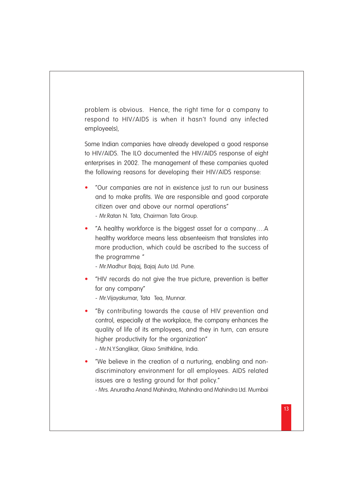problem is obvious. Hence, the right time for a company to respond to HIV/AIDS is when it hasn't found any infected employee(s),

Some Indian companies have already developed a good response to HIV/AIDS. The ILO documented the HIV/AIDS response of eight enterprises in 2002. The management of these companies quoted the following reasons for developing their HIV/AIDS response:

• "Our companies are not in existence just to run our business and to make profits. We are responsible and good corporate citizen over and above our normal operations"

- Mr.Ratan N. Tata, Chairman Tata Group.

• "A healthy workforce is the biggest asset for a company….A healthy workforce means less absenteeism that translates into more production, which could be ascribed to the success of the programme "

- Mr.Madhur Bajaj, Bajaj Auto Ltd. Pune.

• "HIV records do not give the true picture, prevention is better for any company"

- Mr.Vijayakumar, Tata Tea, Munnar.

- "By contributing towards the cause of HIV prevention and control, especially at the workplace, the company enhances the quality of life of its employees, and they in turn, can ensure higher productivity for the organization"
	- Mr.N.Y.Sanglikar, Glaxo Smithkline, India.
- "We believe in the creation of a nurturing, enabling and nondiscriminatory environment for all employees. AIDS related issues are a testing ground for that policy."

- Mrs. Anuradha Anand Mahindra, Mahindra and Mahindra Ltd. Mumbai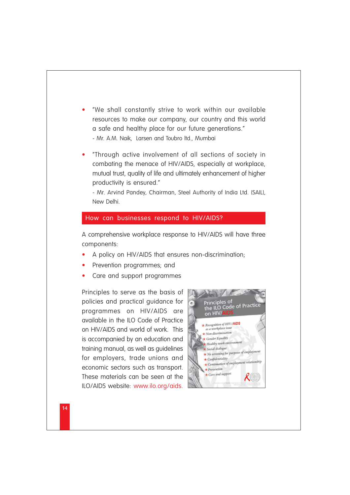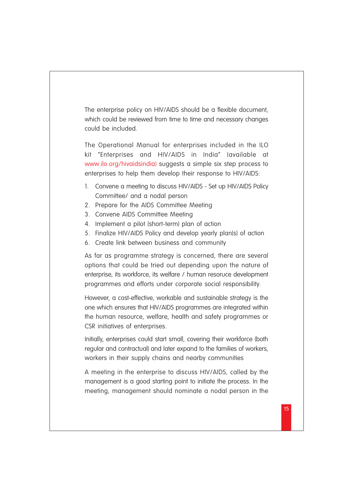The enterprise policy on HIV/AIDS should be a flexible document, which could be reviewed from time to time and necessary changes could be included.

The Operational Manual for enterprises included in the ILO kit "Enterprises and HIV/AIDS in India" (available at www.ilo.org/hivaidsindia) suggests a simple six step process to enterprises to help them develop their response to HIV/AIDS:

- 1. Convene a meeting to discuss HIV/AIDS Set up HIV/AIDS Policy Committee/ and a nodal person
- 2. Prepare for the AIDS Committee Meeting
- 3. Convene AIDS Committee Meeting
- 4. Implement a pilot (short-term) plan of action
- 5. Finalize HIV/AIDS Policy and develop yearly plan(s) of action
- 6. Create link between business and community

As far as programme strategy is concerned, there are several options that could be tried out depending upon the nature of enterprise, its workforce, its welfare / human resoruce development programmes and efforts under corporate social responsibility.

However, a cost-effective, workable and sustainable strategy is the one which ensures that HIV/AIDS programmes are integrated within the human resource, welfare, health and safety programmes or CSR initiatives of enterprises.

Initially, enterprises could start small, covering their workforce (both regular and contractual) and later expand to the families of workers, workers in their supply chains and nearby communities

A meeting in the enterprise to discuss HIV/AIDS, called by the management is a good starting point to initiate the process. In the meeting, management should nominate a nodal person in the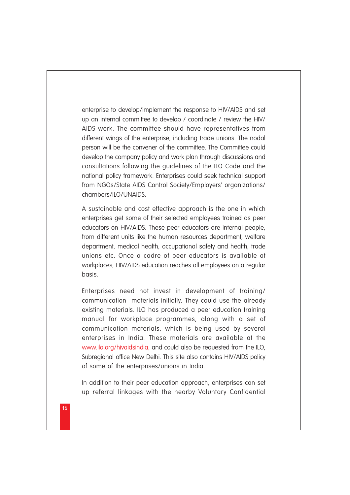enterprise to develop/implement the response to HIV/AIDS and set up an internal committee to develop / coordinate / review the HIV/ AIDS work. The committee should have representatives from different wings of the enterprise, including trade unions. The nodal person will be the convener of the committee. The Committee could develop the company policy and work plan through discussions and consultations following the guidelines of the ILO Code and the national policy framework. Enterprises could seek technical support from NGOs/State AIDS Control Society/Employers' organizations/ chambers/ILO/UNAIDS.

A sustainable and cost effective approach is the one in which enterprises get some of their selected employees trained as peer educators on HIV/AIDS. These peer educators are internal people, from different units like the human resources department, welfare department, medical health, occupational safety and health, trade unions etc. Once a cadre of peer educators is available at workplaces, HIV/AIDS education reaches all employees on a regular basis.

Enterprises need not invest in development of training/ communication materials initially. They could use the already existing materials. ILO has produced a peer education training manual for workplace programmes, along with a set of communication materials, which is being used by several enterprises in India. These materials are available at the www.ilo.org/hivaidsindia, and could also be requested from the ILO, Subregional office New Delhi. This site also contains HIV/AIDS policy of some of the enterprises/unions in India.

In addition to their peer education approach, enterprises can set up referral linkages with the nearby Voluntary Confidential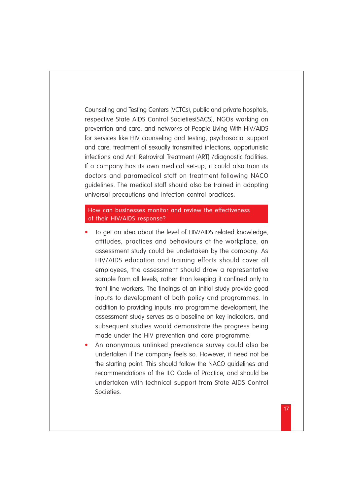Counseling and Testing Centers (VCTCs), public and private hospitals, respective State AIDS Control Societies(SACS), NGOs working on prevention and care, and networks of People Living With HIV/AIDS for services like HIV counseling and testing, psychosocial support and care, treatment of sexually transmitted infections, opportunistic infections and Anti Retroviral Treatment (ART) /diagnostic facilities. If a company has its own medical set-up, it could also train its doctors and paramedical staff on treatment following NACO guidelines. The medical staff should also be trained in adopting universal precautions and infection control practices.

#### How can businesses monitor and review the effectiveness of their HIV/AIDS response?

- To get an idea about the level of HIV/AIDS related knowledge, attitudes, practices and behaviours at the workplace, an assessment study could be undertaken by the company. As HIV/AIDS education and training efforts should cover all employees, the assessment should draw a representative sample from all levels, rather than keeping it confined only to front line workers. The findings of an initial study provide good inputs to development of both policy and programmes. In addition to providing inputs into programme development, the assessment study serves as a baseline on key indicators, and subsequent studies would demonstrate the progress being made under the HIV prevention and care programme.
- An anonymous unlinked prevalence survey could also be undertaken if the company feels so. However, it need not be the starting point. This should follow the NACO guidelines and recommendations of the ILO Code of Practice, and should be undertaken with technical support from State AIDS Control Societies.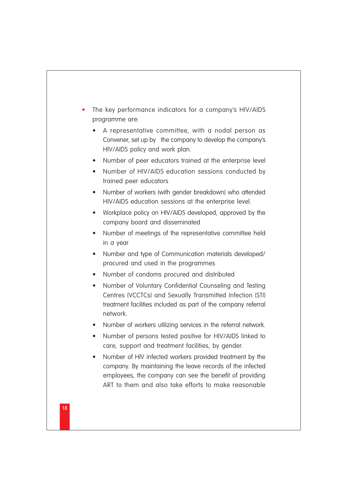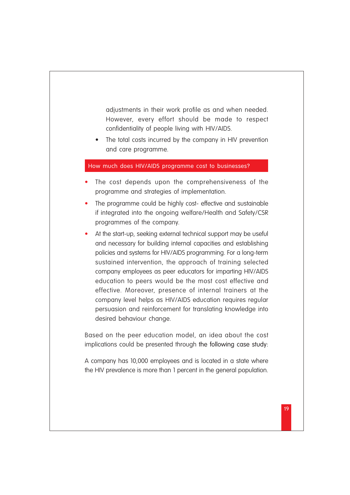adjustments in their work profile as and when needed. However, every effort should be made to respect confidentiality of people living with HIV/AIDS. • The total costs incurred by the company in HIV prevention and care programme. How much does HIV/AIDS programme cost to businesses? • The cost depends upon the comprehensiveness of the programme and strategies of implementation. • The programme could be highly cost- effective and sustainable if integrated into the ongoing welfare/Health and Safety/CSR programmes of the company. • At the start-up, seeking external technical support may be useful and necessary for building internal capacities and establishing policies and systems for HIV/AIDS programming. For a long-term sustained intervention, the approach of training selected company employees as peer educators for imparting HIV/AIDS education to peers would be the most cost effective and effective. Moreover, presence of internal trainers at the company level helps as HIV/AIDS education requires regular persuasion and reinforcement for translating knowledge into desired behaviour change.

Based on the peer education model, an idea about the cost implications could be presented through the following case study:

A company has 10,000 employees and is located in a state where the HIV prevalence is more than 1 percent in the general population.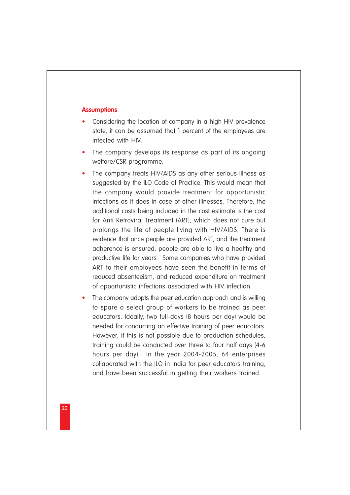#### **Assumptions**

- Considering the location of company in a high HIV prevalence state, it can be assumed that 1 percent of the employees are infected with HIV.
- The company develops its response as part of its ongoing welfare/CSR programme.
- The company treats HIV/AIDS as any other serious illness as suggested by the ILO Code of Practice. This would mean that the company would provide treatment for opportunistic infections as it does in case of other illnesses. Therefore, the additional costs being included in the cost estimate is the cost for Anti Retroviral Treatment (ART), which does not cure but prolongs the life of people living with HIV/AIDS. There is evidence that once people are provided ART, and the treatment adherence is ensured, people are able to live a healthy and productive life for years. Some companies who have provided ART to their employees have seen the benefit in terms of reduced absenteeism, and reduced expenditure on treatment of opportunistic infections associated with HIV infection.
- The company adopts the peer education approach and is willing to spare a select group of workers to be trained as peer educators. Ideally, two full-days (8 hours per day) would be needed for conducting an effective training of peer educators. However, if this is not possible due to production schedules, training could be conducted over three to four half days (4-6 hours per day). In the year 2004-2005, 64 enterprises collaborated with the ILO in India for peer educators training, and have been successful in getting their workers trained.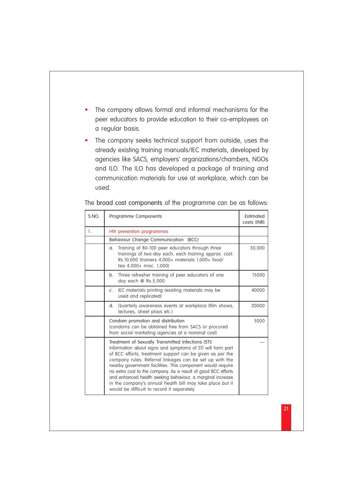

The company seeks technical support from outside, uses the already existing training manuals/IEC materials, developed by agencies like SACS, employers' organizations/chambers, NGOs and ILO. The ILO has developed a package of training and communication materials for use at workplace, which can be used.

| S NO | Programme Components                                                                                                                                                                                                                                                                                                                                                                                                                                                                                                                              | Estimated<br>costs (INR) |
|------|---------------------------------------------------------------------------------------------------------------------------------------------------------------------------------------------------------------------------------------------------------------------------------------------------------------------------------------------------------------------------------------------------------------------------------------------------------------------------------------------------------------------------------------------------|--------------------------|
| 1.   | <b>HIV prevention programmes</b>                                                                                                                                                                                                                                                                                                                                                                                                                                                                                                                  |                          |
|      | Behaviour Change Communication (BCC)                                                                                                                                                                                                                                                                                                                                                                                                                                                                                                              |                          |
|      | Training of 80-100 peer educators through three<br>α.<br>trainings of two-day each, each training approx. cost:<br>Rs.10,000 (trainers 4,000+ materials 1,000+ food/<br>tea 4,000+ misc. 1,000)                                                                                                                                                                                                                                                                                                                                                   | 30,000                   |
|      | Three refresher training of peer educators of one<br>b.<br>day each @ Rs.5,000                                                                                                                                                                                                                                                                                                                                                                                                                                                                    | 15000                    |
|      | IEC materials printing (existing materials may be<br>$\mathsf{C}$ .<br>used and replicated)                                                                                                                                                                                                                                                                                                                                                                                                                                                       | 40000                    |
|      | Quarterly awareness events at workplace (film shows,<br>d.<br>lectures, street plays etc.)                                                                                                                                                                                                                                                                                                                                                                                                                                                        | 20000                    |
|      | Condom promotion and distribution<br>(condoms can be obtained free from SACS or procured<br>from social marketing agencies at a nominal cost)                                                                                                                                                                                                                                                                                                                                                                                                     | 5000                     |
|      | Treatment of Sexually Transmitted Infections (STI)<br>Information about signs and symptoms of STI will form part<br>of BCC efforts, treatment support can be given as per the<br>company rules. Referral linkages can be set up with the<br>nearby government facilities. This component would require<br>no extra cost to the company. As a result of good BCC efforts<br>and enhanced health seeking behaviour, a marginal increase<br>in the company's annual health bill may take place but it<br>would be difficult to record it separately. |                          |

The broad cost components of the programme can be as follows: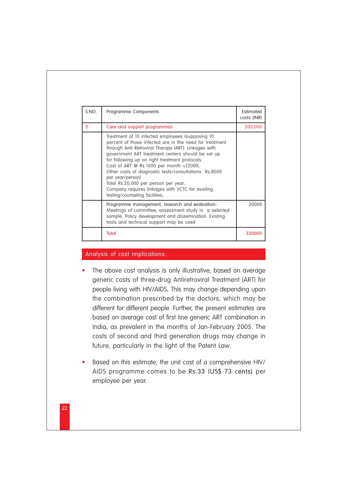| S.NO.            | Programme Components                                                                                                                                                                                                                                                                                                                                                                                                                                                                                                             | <b>Fstimated</b><br>costs (INR) |
|------------------|----------------------------------------------------------------------------------------------------------------------------------------------------------------------------------------------------------------------------------------------------------------------------------------------------------------------------------------------------------------------------------------------------------------------------------------------------------------------------------------------------------------------------------|---------------------------------|
| $\overline{2}$ . | Care and support programmes                                                                                                                                                                                                                                                                                                                                                                                                                                                                                                      | 200,000                         |
|                  | Treatment of 10 infected employees (supposing 10<br>percent of those infected are in the need for treatment<br>through Anti Retroviral Therapy (ART): Linkages with<br>government ART treatment centers should be set up<br>for following up on right treatment protocols.<br>Cost of ART @ Rs.1000 per month =12000;<br>Other costs of diagnostic tests/consultations Rs.8000<br>per year/person)<br>Total Rs.20,000 per person per year;<br>Company requires linkages with VCTC for availing<br>testing/counseling facilities. |                                 |
|                  | Programme management, research and evaluation-<br>Meetings of committee, assessment study in a selected<br>sample. Policy development and dissemination. Existing<br>tools and technical support may be used                                                                                                                                                                                                                                                                                                                     | 20000                           |
|                  | <b>Total</b>                                                                                                                                                                                                                                                                                                                                                                                                                                                                                                                     | 33000                           |

#### Analysis of cost implications:

- The above cost analysis is only illustrative, based on average generic costs of three-drug Antiretroviral Treatment (ART) for people living with HIV/AIDS**.** This may change depending upon the combination prescribed by the doctors, which may be different for different people. Further, the present estimates are based on average cost of first line generic ART combination in India, as prevalent in the months of Jan-February 2005. The costs of second and third generation drugs may change in future, particularly in the light of the Patent Law.
- Based on this estimate, the unit cost of a comprehensive HIV/ AIDS programme comes to be Rs.33 (US\$ 73 cents) per employee per year.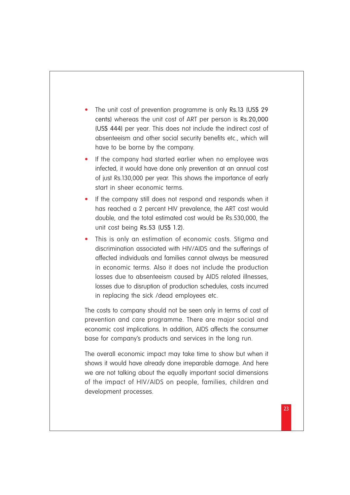

- If the company had started earlier when no employee was infected, it would have done only prevention at an annual cost of just Rs.130,000 per year. This shows the importance of early start in sheer economic terms.
- If the company still does not respond and responds when it has reached a 2 percent HIV prevalence, the ART cost would double, and the total estimated cost would be Rs.530,000, the unit cost being Rs.53 (US\$ 1.2).
- This is only an estimation of economic costs. Stigma and discrimination associated with HIV/AIDS and the sufferings of affected individuals and families cannot always be measured in economic terms. Also it does not include the production losses due to absenteeism caused by AIDS related illnesses, losses due to disruption of production schedules, costs incurred in replacing the sick /dead employees etc.

The costs to company should not be seen only in terms of cost of prevention and care programme. There are major social and economic cost implications. In addition, AIDS affects the consumer base for company's products and services in the long run.

The overall economic impact may take time to show but when it shows it would have already done irreparable damage. And here we are not talking about the equally important social dimensions of the impact of HIV/AIDS on people, families, children and development processes.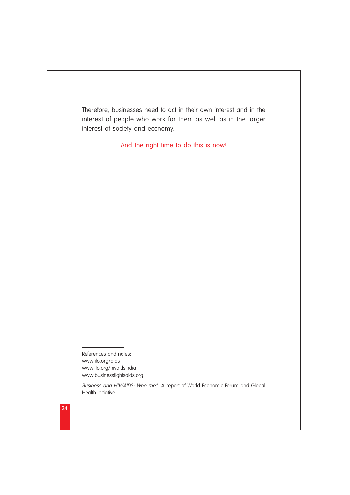